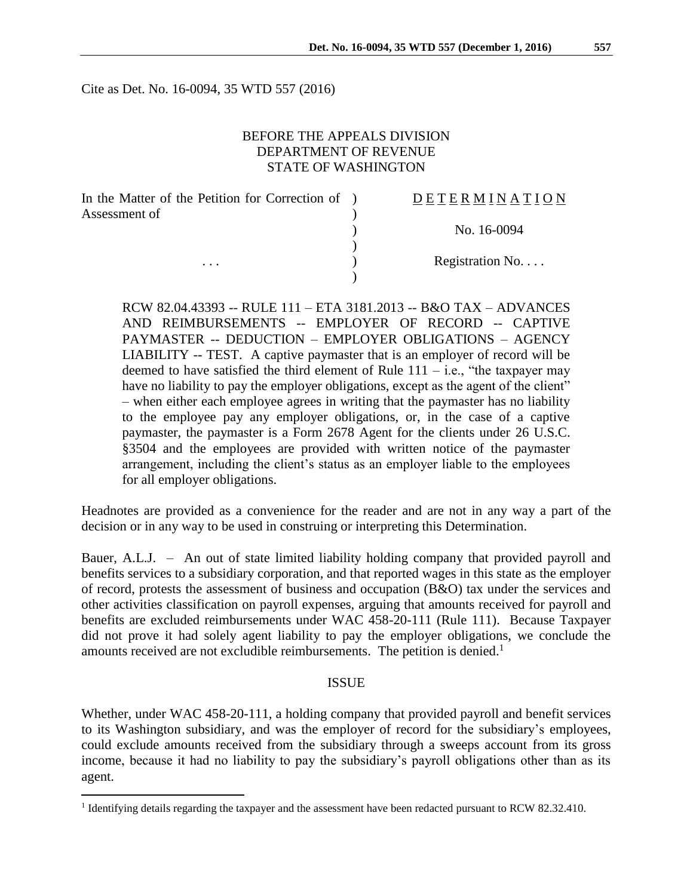Cite as Det. No. 16-0094, 35 WTD 557 (2016)

## BEFORE THE APPEALS DIVISION DEPARTMENT OF REVENUE STATE OF WASHINGTON

| In the Matter of the Petition for Correction of ) | DETERMINATION   |
|---------------------------------------------------|-----------------|
| Assessment of                                     |                 |
|                                                   | No. 16-0094     |
|                                                   |                 |
| $\cdots$                                          | Registration No |
|                                                   |                 |

RCW 82.04.43393 -- RULE 111 – ETA 3181.2013 -- B&O TAX – ADVANCES AND REIMBURSEMENTS -- EMPLOYER OF RECORD -- CAPTIVE PAYMASTER -- DEDUCTION – EMPLOYER OBLIGATIONS – AGENCY LIABILITY -- TEST. A captive paymaster that is an employer of record will be deemed to have satisfied the third element of Rule  $111 - i.e.,$  "the taxpayer may have no liability to pay the employer obligations, except as the agent of the client" – when either each employee agrees in writing that the paymaster has no liability to the employee pay any employer obligations, or, in the case of a captive paymaster, the paymaster is a Form 2678 Agent for the clients under 26 U.S.C. §3504 and the employees are provided with written notice of the paymaster arrangement, including the client's status as an employer liable to the employees for all employer obligations.

Headnotes are provided as a convenience for the reader and are not in any way a part of the decision or in any way to be used in construing or interpreting this Determination.

Bauer, A.L.J. – An out of state limited liability holding company that provided payroll and benefits services to a subsidiary corporation, and that reported wages in this state as the employer of record, protests the assessment of business and occupation (B&O) tax under the services and other activities classification on payroll expenses, arguing that amounts received for payroll and benefits are excluded reimbursements under WAC 458-20-111 (Rule 111). Because Taxpayer did not prove it had solely agent liability to pay the employer obligations, we conclude the amounts received are not excludible reimbursements. The petition is denied.<sup>1</sup>

#### ISSUE

Whether, under WAC 458-20-111, a holding company that provided payroll and benefit services to its Washington subsidiary, and was the employer of record for the subsidiary's employees, could exclude amounts received from the subsidiary through a sweeps account from its gross income, because it had no liability to pay the subsidiary's payroll obligations other than as its agent.

 $\overline{a}$ 

<sup>&</sup>lt;sup>1</sup> Identifying details regarding the taxpayer and the assessment have been redacted pursuant to RCW 82.32.410.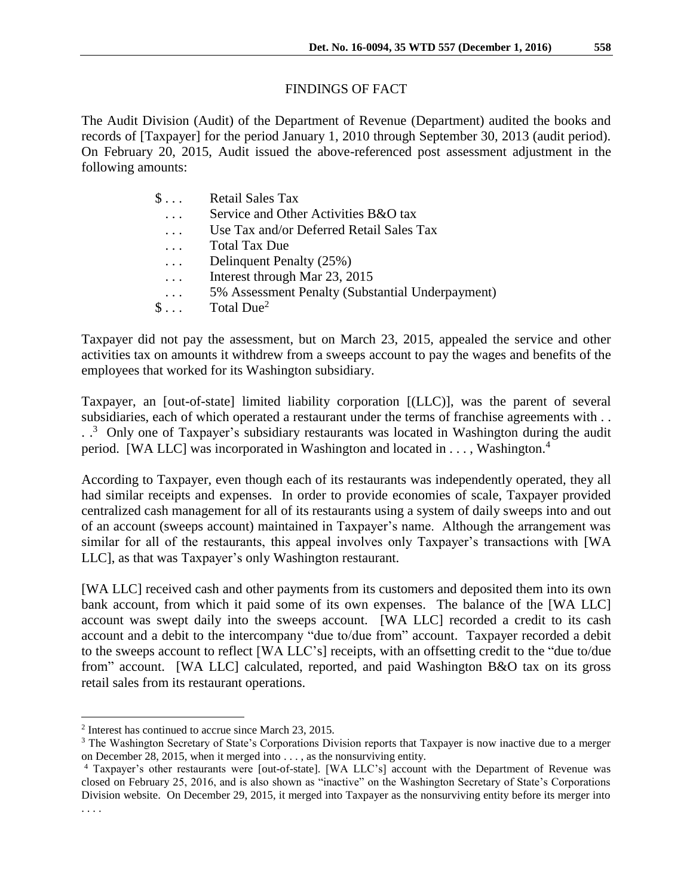## FINDINGS OF FACT

The Audit Division (Audit) of the Department of Revenue (Department) audited the books and records of [Taxpayer] for the period January 1, 2010 through September 30, 2013 (audit period). On February 20, 2015, Audit issued the above-referenced post assessment adjustment in the following amounts:

| $\mathbb{S} \dots$ | <b>Retail Sales Tax</b>                          |
|--------------------|--------------------------------------------------|
| $\cdot$ .          | Service and Other Activities B&O tax             |
| $\cdots$           | Use Tax and/or Deferred Retail Sales Tax         |
| $\cdots$           | <b>Total Tax Due</b>                             |
| $\cdots$           | Delinquent Penalty (25%)                         |
| $\cdots$           | Interest through Mar 23, 2015                    |
| $\cdots$           | 5% Assessment Penalty (Substantial Underpayment) |
| $\$\ldots$         | Total Due <sup>2</sup>                           |
|                    |                                                  |

Taxpayer did not pay the assessment, but on March 23, 2015, appealed the service and other activities tax on amounts it withdrew from a sweeps account to pay the wages and benefits of the employees that worked for its Washington subsidiary.

Taxpayer, an [out-of-state] limited liability corporation [(LLC)], was the parent of several subsidiaries, each of which operated a restaurant under the terms of franchise agreements with . .  $\therefore$ <sup>3</sup> Only one of Taxpayer's subsidiary restaurants was located in Washington during the audit period. [WA LLC] was incorporated in Washington and located in . . . , Washington.<sup>4</sup>

According to Taxpayer, even though each of its restaurants was independently operated, they all had similar receipts and expenses. In order to provide economies of scale, Taxpayer provided centralized cash management for all of its restaurants using a system of daily sweeps into and out of an account (sweeps account) maintained in Taxpayer's name. Although the arrangement was similar for all of the restaurants, this appeal involves only Taxpayer's transactions with [WA LLC], as that was Taxpayer's only Washington restaurant.

[WA LLC] received cash and other payments from its customers and deposited them into its own bank account, from which it paid some of its own expenses. The balance of the [WA LLC] account was swept daily into the sweeps account. [WA LLC] recorded a credit to its cash account and a debit to the intercompany "due to/due from" account. Taxpayer recorded a debit to the sweeps account to reflect [WA LLC's] receipts, with an offsetting credit to the "due to/due from" account. [WA LLC] calculated, reported, and paid Washington B&O tax on its gross retail sales from its restaurant operations.

 $\overline{a}$ 

<sup>&</sup>lt;sup>2</sup> Interest has continued to accrue since March 23, 2015.

<sup>&</sup>lt;sup>3</sup> The Washington Secretary of State's Corporations Division reports that Taxpayer is now inactive due to a merger on December 28, 2015, when it merged into . . . , as the nonsurviving entity.

<sup>4</sup> Taxpayer's other restaurants were [out-of-state]. [WA LLC's] account with the Department of Revenue was closed on February 25, 2016, and is also shown as "inactive" on the Washington Secretary of State's Corporations Division website. On December 29, 2015, it merged into Taxpayer as the nonsurviving entity before its merger into . . . .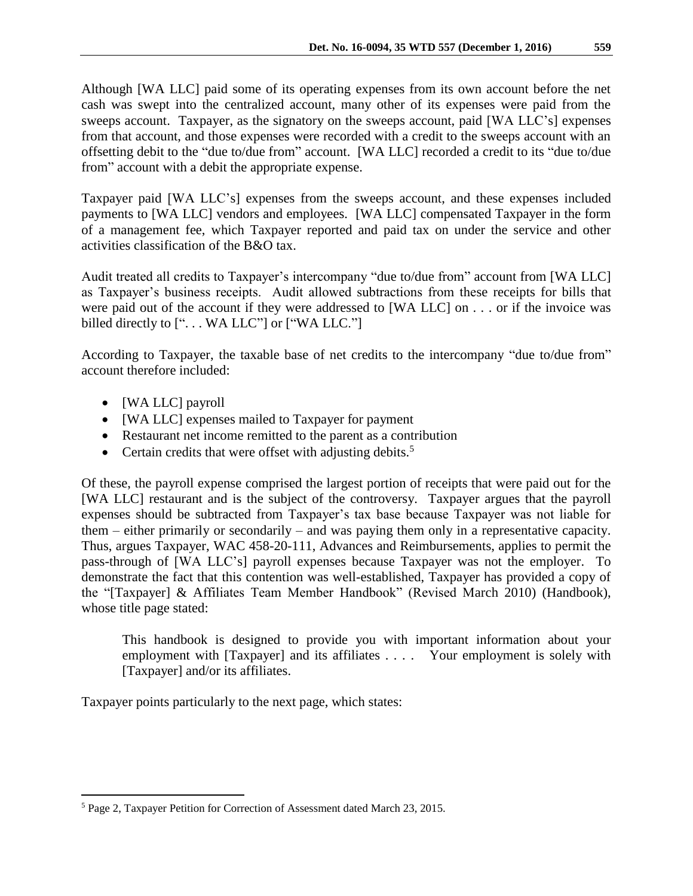Although [WA LLC] paid some of its operating expenses from its own account before the net cash was swept into the centralized account, many other of its expenses were paid from the sweeps account. Taxpayer, as the signatory on the sweeps account, paid [WA LLC's] expenses from that account, and those expenses were recorded with a credit to the sweeps account with an offsetting debit to the "due to/due from" account. [WA LLC] recorded a credit to its "due to/due from" account with a debit the appropriate expense.

Taxpayer paid [WA LLC's] expenses from the sweeps account, and these expenses included payments to [WA LLC] vendors and employees. [WA LLC] compensated Taxpayer in the form of a management fee, which Taxpayer reported and paid tax on under the service and other activities classification of the B&O tax.

Audit treated all credits to Taxpayer's intercompany "due to/due from" account from [WA LLC] as Taxpayer's business receipts. Audit allowed subtractions from these receipts for bills that were paid out of the account if they were addressed to [WA LLC] on . . . or if the invoice was billed directly to ["... WA LLC"] or ["WA LLC."]

According to Taxpayer, the taxable base of net credits to the intercompany "due to/due from" account therefore included:

- [WA LLC] payroll
- [WA LLC] expenses mailed to Taxpayer for payment
- Restaurant net income remitted to the parent as a contribution
- Certain credits that were offset with adjusting debits.<sup>5</sup>

Of these, the payroll expense comprised the largest portion of receipts that were paid out for the [WA LLC] restaurant and is the subject of the controversy. Taxpayer argues that the payroll expenses should be subtracted from Taxpayer's tax base because Taxpayer was not liable for them – either primarily or secondarily – and was paying them only in a representative capacity. Thus, argues Taxpayer, WAC 458-20-111, Advances and Reimbursements, applies to permit the pass-through of [WA LLC's] payroll expenses because Taxpayer was not the employer. To demonstrate the fact that this contention was well-established, Taxpayer has provided a copy of the "[Taxpayer] & Affiliates Team Member Handbook" (Revised March 2010) (Handbook), whose title page stated:

This handbook is designed to provide you with important information about your employment with [Taxpayer] and its affiliates . . . . Your employment is solely with [Taxpayer] and/or its affiliates.

Taxpayer points particularly to the next page, which states:

 $\overline{a}$ <sup>5</sup> Page 2, Taxpayer Petition for Correction of Assessment dated March 23, 2015.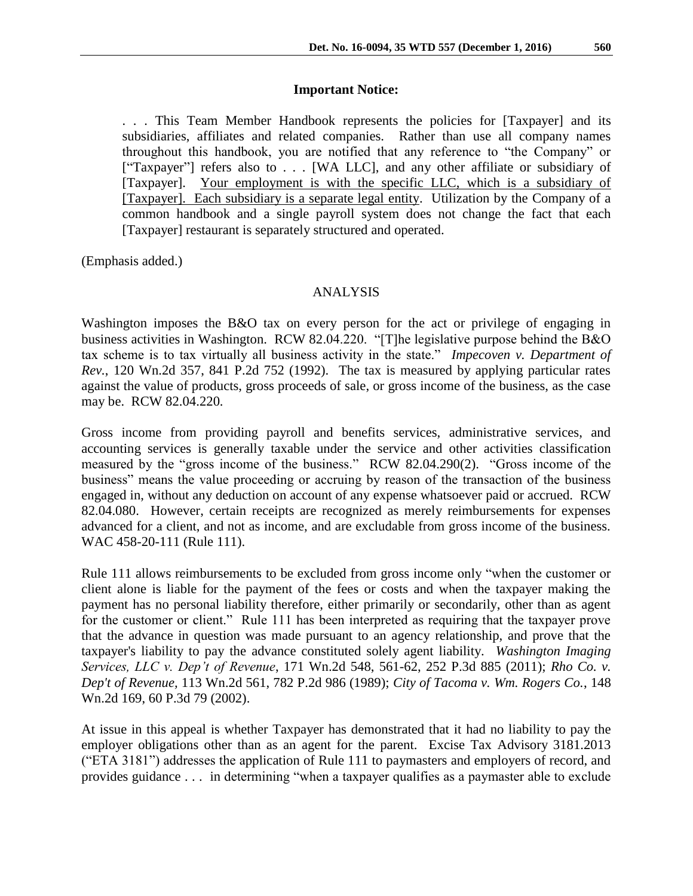#### **Important Notice:**

. . . This Team Member Handbook represents the policies for [Taxpayer] and its subsidiaries, affiliates and related companies. Rather than use all company names throughout this handbook, you are notified that any reference to "the Company" or ["Taxpayer"] refers also to . . . [WA LLC], and any other affiliate or subsidiary of [Taxpayer]. Your employment is with the specific LLC, which is a subsidiary of [Taxpayer]. Each subsidiary is a separate legal entity. Utilization by the Company of a common handbook and a single payroll system does not change the fact that each [Taxpayer] restaurant is separately structured and operated.

(Emphasis added.)

## ANALYSIS

Washington imposes the B&O tax on every person for the act or privilege of engaging in business activities in Washington. RCW 82.04.220. "[T]he legislative purpose behind the B&O tax scheme is to tax virtually all business activity in the state." *Impecoven v. Department of Rev.*, 120 Wn.2d 357, 841 P.2d 752 (1992). The tax is measured by applying particular rates against the value of products, gross proceeds of sale, or gross income of the business, as the case may be. RCW 82.04.220.

Gross income from providing payroll and benefits services, administrative services, and accounting services is generally taxable under the service and other activities classification measured by the "gross income of the business." RCW 82.04.290(2). "Gross income of the business" means the value proceeding or accruing by reason of the transaction of the business engaged in, without any deduction on account of any expense whatsoever paid or accrued. RCW 82.04.080. However, certain receipts are recognized as merely reimbursements for expenses advanced for a client, and not as income, and are excludable from gross income of the business. WAC 458-20-111 (Rule 111).

Rule 111 allows reimbursements to be excluded from gross income only "when the customer or client alone is liable for the payment of the fees or costs and when the taxpayer making the payment has no personal liability therefore, either primarily or secondarily, other than as agent for the customer or client." Rule 111 has been interpreted as requiring that the taxpayer prove that the advance in question was made pursuant to an agency relationship, and prove that the taxpayer's liability to pay the advance constituted solely agent liability. *Washington Imaging Services, LLC v. Dep't of Revenue*, 171 Wn.2d 548, 561-62, 252 P.3d 885 (2011); *Rho Co. v. Dep't of Revenue,* 113 Wn.2d 561, 782 P.2d 986 (1989); *City of Tacoma v. Wm. Rogers Co.*, 148 Wn.2d 169, 60 P.3d 79 (2002).

At issue in this appeal is whether Taxpayer has demonstrated that it had no liability to pay the employer obligations other than as an agent for the parent. Excise Tax Advisory 3181.2013 ("ETA 3181") addresses the application of Rule 111 to paymasters and employers of record, and provides guidance . . . in determining "when a taxpayer qualifies as a paymaster able to exclude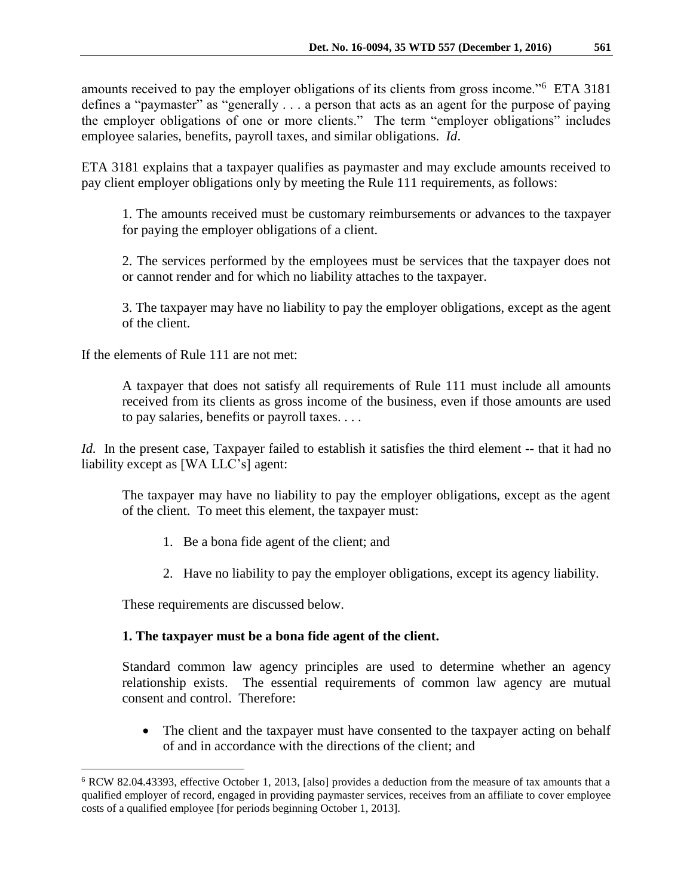amounts received to pay the employer obligations of its clients from gross income."<sup>6</sup> ETA 3181 defines a "paymaster" as "generally . . . a person that acts as an agent for the purpose of paying the employer obligations of one or more clients." The term "employer obligations" includes employee salaries, benefits, payroll taxes, and similar obligations. *Id*.

ETA 3181 explains that a taxpayer qualifies as paymaster and may exclude amounts received to pay client employer obligations only by meeting the Rule 111 requirements, as follows:

1. The amounts received must be customary reimbursements or advances to the taxpayer for paying the employer obligations of a client.

2. The services performed by the employees must be services that the taxpayer does not or cannot render and for which no liability attaches to the taxpayer.

3. The taxpayer may have no liability to pay the employer obligations, except as the agent of the client.

If the elements of Rule 111 are not met:

A taxpayer that does not satisfy all requirements of Rule 111 must include all amounts received from its clients as gross income of the business, even if those amounts are used to pay salaries, benefits or payroll taxes. . . .

*Id.* In the present case, Taxpayer failed to establish it satisfies the third element -- that it had no liability except as [WA LLC's] agent:

The taxpayer may have no liability to pay the employer obligations, except as the agent of the client. To meet this element, the taxpayer must:

- 1. Be a bona fide agent of the client; and
- 2. Have no liability to pay the employer obligations, except its agency liability.

These requirements are discussed below.

 $\overline{a}$ 

# **1. The taxpayer must be a bona fide agent of the client.**

Standard common law agency principles are used to determine whether an agency relationship exists. The essential requirements of common law agency are mutual consent and control. Therefore:

• The client and the taxpayer must have consented to the taxpayer acting on behalf of and in accordance with the directions of the client; and

<sup>6</sup> RCW 82.04.43393, effective October 1, 2013, [also] provides a deduction from the measure of tax amounts that a qualified employer of record, engaged in providing paymaster services, receives from an affiliate to cover employee costs of a qualified employee [for periods beginning October 1, 2013].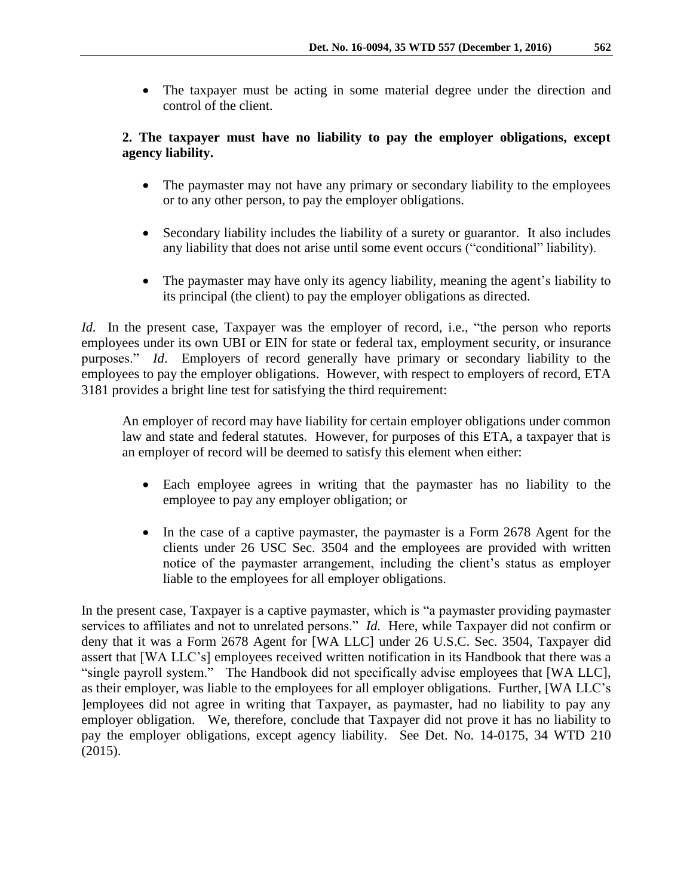The taxpayer must be acting in some material degree under the direction and control of the client.

# **2. The taxpayer must have no liability to pay the employer obligations, except agency liability.**

- The paymaster may not have any primary or secondary liability to the employees or to any other person, to pay the employer obligations.
- Secondary liability includes the liability of a surety or guarantor. It also includes any liability that does not arise until some event occurs ("conditional" liability).
- The paymaster may have only its agency liability, meaning the agent's liability to its principal (the client) to pay the employer obligations as directed.

*Id.* In the present case, Taxpayer was the employer of record, i.e., "the person who reports employees under its own UBI or EIN for state or federal tax, employment security, or insurance purposes." *Id*. Employers of record generally have primary or secondary liability to the employees to pay the employer obligations. However, with respect to employers of record, ETA 3181 provides a bright line test for satisfying the third requirement:

An employer of record may have liability for certain employer obligations under common law and state and federal statutes. However, for purposes of this ETA, a taxpayer that is an employer of record will be deemed to satisfy this element when either:

- Each employee agrees in writing that the paymaster has no liability to the employee to pay any employer obligation; or
- In the case of a captive paymaster, the paymaster is a Form 2678 Agent for the clients under 26 USC Sec. 3504 and the employees are provided with written notice of the paymaster arrangement, including the client's status as employer liable to the employees for all employer obligations.

In the present case, Taxpayer is a captive paymaster, which is "a paymaster providing paymaster services to affiliates and not to unrelated persons." *Id.* Here, while Taxpayer did not confirm or deny that it was a Form 2678 Agent for [WA LLC] under 26 U.S.C. Sec. 3504, Taxpayer did assert that [WA LLC's] employees received written notification in its Handbook that there was a "single payroll system." The Handbook did not specifically advise employees that [WA LLC], as their employer, was liable to the employees for all employer obligations. Further, [WA LLC's ]employees did not agree in writing that Taxpayer, as paymaster, had no liability to pay any employer obligation. We, therefore, conclude that Taxpayer did not prove it has no liability to pay the employer obligations, except agency liability. See Det. No. 14-0175, 34 WTD 210 (2015).